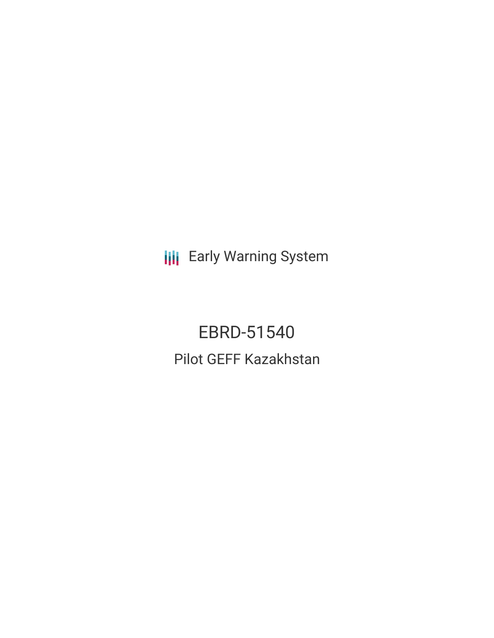**III** Early Warning System

EBRD-51540 Pilot GEFF Kazakhstan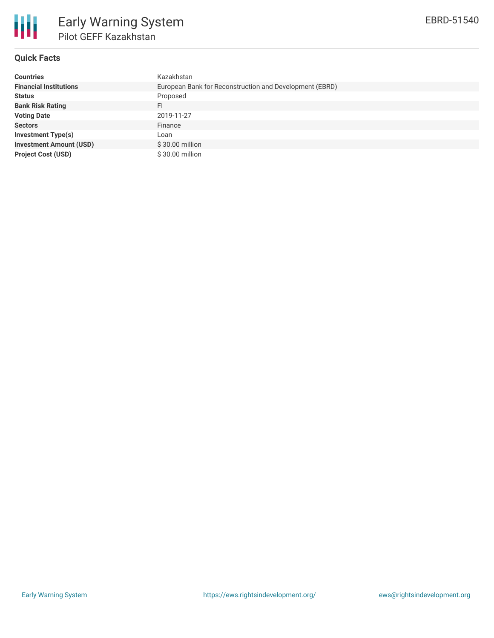

## **Quick Facts**

| <b>Countries</b>               | Kazakhstan                                              |
|--------------------------------|---------------------------------------------------------|
| <b>Financial Institutions</b>  | European Bank for Reconstruction and Development (EBRD) |
| <b>Status</b>                  | Proposed                                                |
| <b>Bank Risk Rating</b>        | FI                                                      |
| <b>Voting Date</b>             | 2019-11-27                                              |
| <b>Sectors</b>                 | Finance                                                 |
| Investment Type(s)             | Loan                                                    |
| <b>Investment Amount (USD)</b> | \$30.00 million                                         |
| <b>Project Cost (USD)</b>      | \$30.00 million                                         |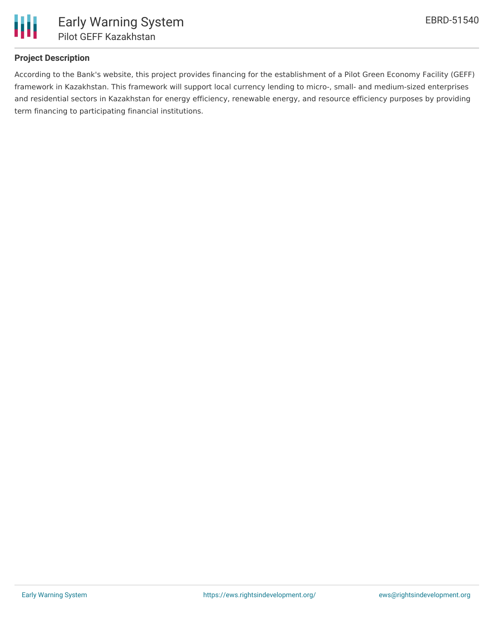

# **Project Description**

According to the Bank's website, this project provides financing for the establishment of a Pilot Green Economy Facility (GEFF) framework in Kazakhstan. This framework will support local currency lending to micro-, small- and medium-sized enterprises and residential sectors in Kazakhstan for energy efficiency, renewable energy, and resource efficiency purposes by providing term financing to participating financial institutions.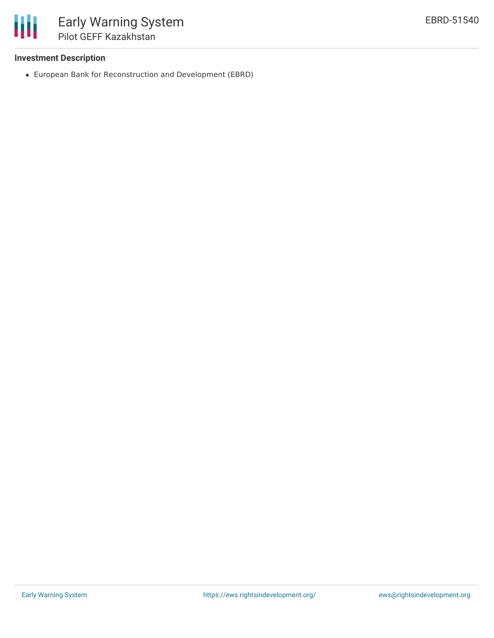

### **Investment Description**

European Bank for Reconstruction and Development (EBRD)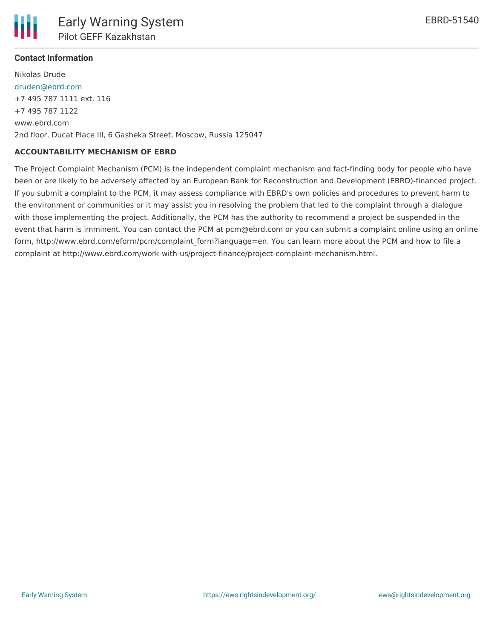

# **Contact Information**

Nikolas Drude [druden@ebrd.com](mailto:druden@ebrd.com) +7 495 787 1111 ext. 116 +7 495 787 1122 www.ebrd.com 2nd floor, Ducat Place III, 6 Gasheka Street, Moscow, Russia 125047

### **ACCOUNTABILITY MECHANISM OF EBRD**

The Project Complaint Mechanism (PCM) is the independent complaint mechanism and fact-finding body for people who have been or are likely to be adversely affected by an European Bank for Reconstruction and Development (EBRD)-financed project. If you submit a complaint to the PCM, it may assess compliance with EBRD's own policies and procedures to prevent harm to the environment or communities or it may assist you in resolving the problem that led to the complaint through a dialogue with those implementing the project. Additionally, the PCM has the authority to recommend a project be suspended in the event that harm is imminent. You can contact the PCM at pcm@ebrd.com or you can submit a complaint online using an online form, http://www.ebrd.com/eform/pcm/complaint\_form?language=en. You can learn more about the PCM and how to file a complaint at http://www.ebrd.com/work-with-us/project-finance/project-complaint-mechanism.html.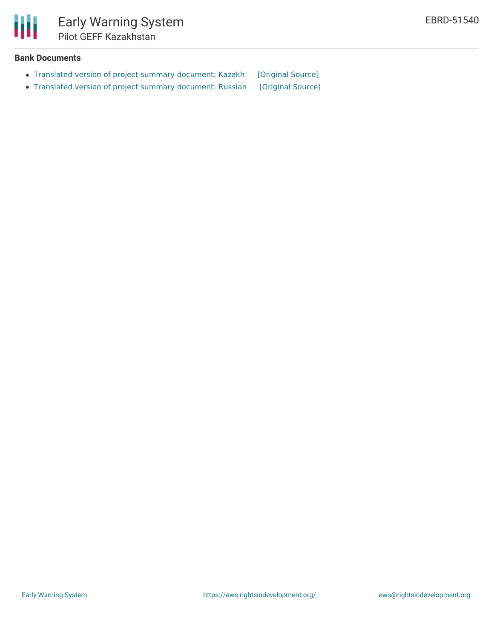

# **Bank Documents**

- Translated version of project summary [document:](https://ewsdata.rightsindevelopment.org/files/documents/40/EBRD-51540.pdf) Kazakh [\[Original](https://www.ebrd.com/cs/Satellite?c=Content&cid=1395286184920&d=&pagename=EBRD%2FContent%2FDownloadDocument) Source]
- Translated version of project summary [document:](https://ewsdata.rightsindevelopment.org/files/documents/40/EBRD-51540_jPe4DX6.pdf) Russian [\[Original](https://www.ebrd.com/cs/Satellite?c=Content&cid=1395286213811&d=&pagename=EBRD%2FContent%2FDownloadDocument) Source]